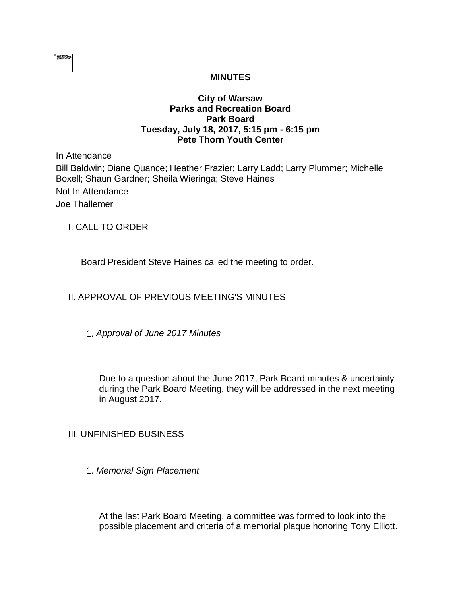

## **MINUTES**

### **City of Warsaw Parks and Recreation Board Park Board Tuesday, July 18, 2017, 5:15 pm - 6:15 pm Pete Thorn Youth Center**

In Attendance

Bill Baldwin; Diane Quance; Heather Frazier; Larry Ladd; Larry Plummer; Michelle Boxell; Shaun Gardner; Sheila Wieringa; Steve Haines Not In Attendance Joe Thallemer

I. CALL TO ORDER

Board President Steve Haines called the meeting to order.

## II. APPROVAL OF PREVIOUS MEETING'S MINUTES

1. *Approval of June 2017 Minutes* 

Due to a question about the June 2017, Park Board minutes & uncertainty during the Park Board Meeting, they will be addressed in the next meeting in August 2017.

### III. UNFINISHED BUSINESS

1. *Memorial Sign Placement*

At the last Park Board Meeting, a committee was formed to look into the possible placement and criteria of a memorial plaque honoring Tony Elliott.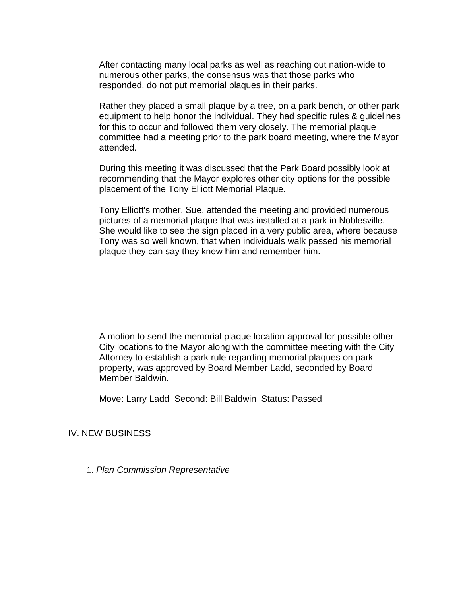After contacting many local parks as well as reaching out nation-wide to numerous other parks, the consensus was that those parks who responded, do not put memorial plaques in their parks.

Rather they placed a small plaque by a tree, on a park bench, or other park equipment to help honor the individual. They had specific rules & guidelines for this to occur and followed them very closely. The memorial plaque committee had a meeting prior to the park board meeting, where the Mayor attended.

During this meeting it was discussed that the Park Board possibly look at recommending that the Mayor explores other city options for the possible placement of the Tony Elliott Memorial Plaque.

Tony Elliott's mother, Sue, attended the meeting and provided numerous pictures of a memorial plaque that was installed at a park in Noblesville. She would like to see the sign placed in a very public area, where because Tony was so well known, that when individuals walk passed his memorial plaque they can say they knew him and remember him.

A motion to send the memorial plaque location approval for possible other City locations to the Mayor along with the committee meeting with the City Attorney to establish a park rule regarding memorial plaques on park property, was approved by Board Member Ladd, seconded by Board Member Baldwin.

Move: Larry Ladd Second: Bill Baldwin Status: Passed

IV. NEW BUSINESS

1. *Plan Commission Representative*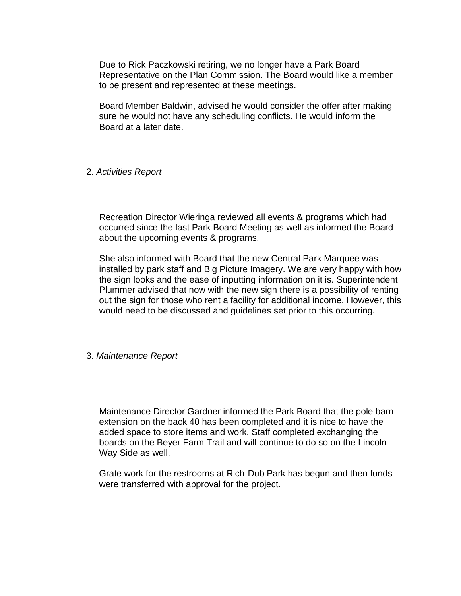Due to Rick Paczkowski retiring, we no longer have a Park Board Representative on the Plan Commission. The Board would like a member to be present and represented at these meetings.

Board Member Baldwin, advised he would consider the offer after making sure he would not have any scheduling conflicts. He would inform the Board at a later date.

#### 2. *Activities Report*

Recreation Director Wieringa reviewed all events & programs which had occurred since the last Park Board Meeting as well as informed the Board about the upcoming events & programs.

She also informed with Board that the new Central Park Marquee was installed by park staff and Big Picture Imagery. We are very happy with how the sign looks and the ease of inputting information on it is. Superintendent Plummer advised that now with the new sign there is a possibility of renting out the sign for those who rent a facility for additional income. However, this would need to be discussed and guidelines set prior to this occurring.

#### 3. *Maintenance Report*

Maintenance Director Gardner informed the Park Board that the pole barn extension on the back 40 has been completed and it is nice to have the added space to store items and work. Staff completed exchanging the boards on the Beyer Farm Trail and will continue to do so on the Lincoln Way Side as well.

Grate work for the restrooms at Rich-Dub Park has begun and then funds were transferred with approval for the project.